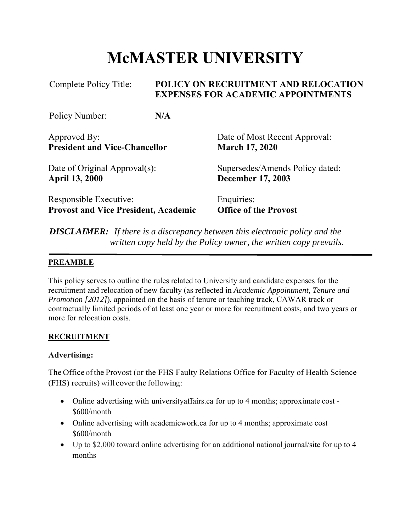# **McMASTER UNIVERSITY**

| Complete Policy Title:                      |     | POLICY ON RECRUITMENT AND RELOCATION<br><b>EXPENSES FOR ACADEMIC APPOINTMENTS</b> |  |
|---------------------------------------------|-----|-----------------------------------------------------------------------------------|--|
| Policy Number:                              | N/A |                                                                                   |  |
| Approved By:                                |     | Date of Most Recent Approval:                                                     |  |
| <b>President and Vice-Chancellor</b>        |     | <b>March 17, 2020</b>                                                             |  |
| Date of Original Approval(s):               |     | Supersedes/Amends Policy dated:                                                   |  |
| <b>April 13, 2000</b>                       |     | <b>December 17, 2003</b>                                                          |  |
| Responsible Executive:                      |     | Enquiries:                                                                        |  |
| <b>Provost and Vice President, Academic</b> |     | <b>Office of the Provost</b>                                                      |  |

*DISCLAIMER: If there is a discrepancy between this electronic policy and the written copy held by the Policy owner, the written copy prevails.*

## **PREAMBLE**

This policy serves to outline the rules related to University and candidate expenses for the recruitment and relocation of new faculty (as reflected in *Academic Appointment, Tenure and Promotion [2012]*), appointed on the basis of tenure or teaching track, CAWAR track or contractually limited periods of at least one year or more for recruitment costs, and two years or more for relocation costs.

## **RECRUITMENT**

## **Advertising:**

The Office of the Provost (or the FHS Faulty Relations Office for Faculty of Health Science (FHS) recruits) will cover the following:

- Online advertising with universityaffairs.ca for up to 4 months; approximate cost \$600/month
- Online advertising with academicwork.ca for up to 4 months; approximate cost \$600/month
- Up to \$2,000 toward online advertising for an additional national journal/site for up to 4 months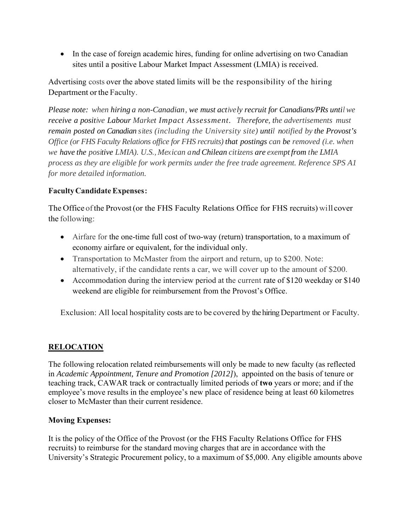• In the case of foreign academic hires, funding for online advertising on two Canadian sites until a positive Labour Market Impact Assessment (LMIA) is received.

Advertising costs over the above stated limits will be the responsibility of the hiring Department or the Faculty.

*Please note: when hiring a non-Canadian, we must actively recruit for Canadians/PRs until we receive a positive Labour Market Impact Assessment. Therefore, the advertisements must remain posted on Canadian sites (including the University site) until notified by the Provost's Office (or FHS Faculty Relations office for FHS recruits) that postings can be removed (i.e. when we have the positive LMIA). U.S., Mexican and Chilean citizens are exempt from the LMIA process as they are eligible for work permits under the free trade agreement. Reference SPS A1 for more detailed information.*

## **Faculty Candidate Expenses:**

The Office of the Provost (or the FHS Faculty Relations Office for FHS recruits) will cover the following:

- Airfare for the one-time full cost of two-way (return) transportation, to a maximum of economy airfare or equivalent, for the individual only.
- Transportation to McMaster from the airport and return, up to \$200. Note: alternatively, if the candidate rents a car, we will cover up to the amount of \$200.
- Accommodation during the interview period at the current rate of \$120 weekday or \$140 weekend are eligible for reimbursement from the Provost's Office.

Exclusion: All local hospitality costs are to be covered by the hiring Department or Faculty.

# **RELOCATION**

The following relocation related reimbursements will only be made to new faculty (as reflected in *Academic Appointment, Tenure and Promotion [2012]*), appointed on the basis of tenure or teaching track, CAWAR track or contractually limited periods of **two** years or more; and if the employee's move results in the employee's new place of residence being at least 60 kilometres closer to McMaster than their current residence.

## **Moving Expenses:**

It is the policy of the Office of the Provost (or the FHS Faculty Relations Office for FHS recruits) to reimburse for the standard moving charges that are in accordance with the University's Strategic Procurement policy, to a maximum of \$5,000. Any eligible amounts above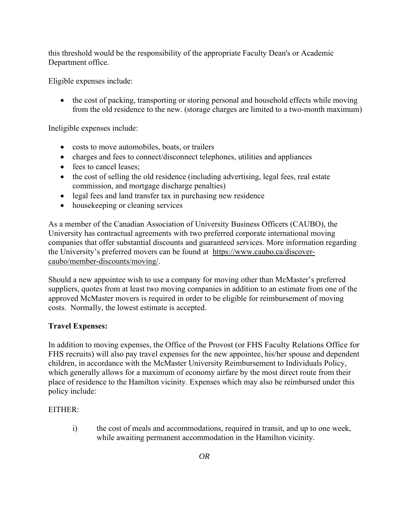this threshold would be the responsibility of the appropriate Faculty Dean's or Academic Department office.

Eligible expenses include:

• the cost of packing, transporting or storing personal and household effects while moving from the old residence to the new. (storage charges are limited to a two-month maximum)

Ineligible expenses include:

- costs to move automobiles, boats, or trailers
- charges and fees to connect/disconnect telephones, utilities and appliances
- fees to cancel leases;
- the cost of selling the old residence (including advertising, legal fees, real estate commission, and mortgage discharge penalties)
- legal fees and land transfer tax in purchasing new residence
- housekeeping or cleaning services

As a member of the Canadian Association of University Business Officers (CAUBO), the University has contractual agreements with two preferred corporate international moving companies that offer substantial discounts and guaranteed services. More information regarding the University's preferred movers can be found at https://www.caubo.ca/discovercaubo/member-discounts/moving/.

Should a new appointee wish to use a company for moving other than McMaster's preferred suppliers, quotes from at least two moving companies in addition to an estimate from one of the approved McMaster movers is required in order to be eligible for reimbursement of moving costs. Normally, the lowest estimate is accepted.

#### **Travel Expenses:**

In addition to moving expenses, the Office of the Provost (or FHS Faculty Relations Office for FHS recruits) will also pay travel expenses for the new appointee, his/her spouse and dependent children, in accordance with the McMaster University Reimbursement to Individuals Policy, which generally allows for a maximum of economy airfare by the most direct route from their place of residence to the Hamilton vicinity. Expenses which may also be reimbursed under this policy include:

#### EITHER:

i) the cost of meals and accommodations, required in transit, and up to one week, while awaiting permanent accommodation in the Hamilton vicinity*.*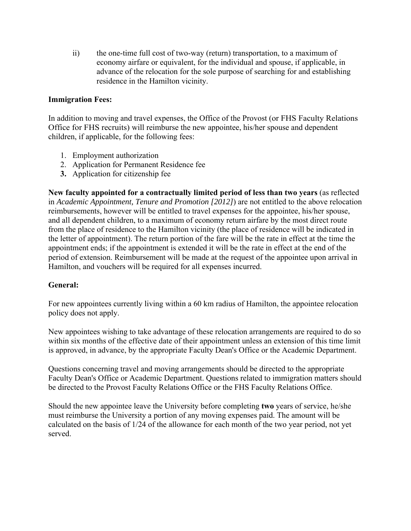ii) the one-time full cost of two-way (return) transportation, to a maximum of economy airfare or equivalent, for the individual and spouse, if applicable, in advance of the relocation for the sole purpose of searching for and establishing residence in the Hamilton vicinity.

## **Immigration Fees:**

In addition to moving and travel expenses, the Office of the Provost (or FHS Faculty Relations Office for FHS recruits) will reimburse the new appointee, his/her spouse and dependent children, if applicable, for the following fees:

- 1. Employment authorization
- 2. Application for Permanent Residence fee
- **3.** Application for citizenship fee

**New faculty appointed for a contractually limited period of less than two years** (as reflected in *Academic Appointment, Tenure and Promotion [2012]*) are not entitled to the above relocation reimbursements, however will be entitled to travel expenses for the appointee, his/her spouse, and all dependent children, to a maximum of economy return airfare by the most direct route from the place of residence to the Hamilton vicinity (the place of residence will be indicated in the letter of appointment). The return portion of the fare will be the rate in effect at the time the appointment ends; if the appointment is extended it will be the rate in effect at the end of the period of extension. Reimbursement will be made at the request of the appointee upon arrival in Hamilton, and vouchers will be required for all expenses incurred.

#### **General:**

For new appointees currently living within a 60 km radius of Hamilton, the appointee relocation policy does not apply.

New appointees wishing to take advantage of these relocation arrangements are required to do so within six months of the effective date of their appointment unless an extension of this time limit is approved, in advance, by the appropriate Faculty Dean's Office or the Academic Department.

Questions concerning travel and moving arrangements should be directed to the appropriate Faculty Dean's Office or Academic Department. Questions related to immigration matters should be directed to the Provost Faculty Relations Office or the FHS Faculty Relations Office.

Should the new appointee leave the University before completing **two** years of service, he/she must reimburse the University a portion of any moving expenses paid. The amount will be calculated on the basis of 1/24 of the allowance for each month of the two year period, not yet served.